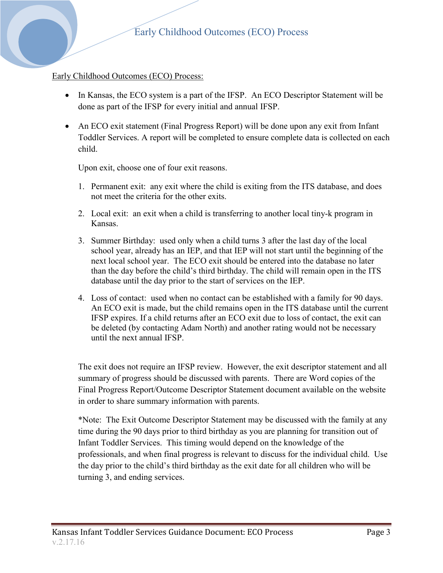### Early Childhood Outcomes (ECO) Process:

- In Kansas, the ECO system is a part of the IFSP. An ECO Descriptor Statement will be done as part of the IFSP for every initial and annual IFSP.
- An ECO exit statement (Final Progress Report) will be done upon any exit from Infant Toddler Services. A report will be completed to ensure complete data is collected on each child.

Upon exit, choose one of four exit reasons.

- 1. Permanent exit: any exit where the child is exiting from the ITS database, and does not meet the criteria for the other exits.
- 2. Local exit: an exit when a child is transferring to another local tiny-k program in Kansas.
- 3. Summer Birthday: used only when a child turns 3 after the last day of the local school year, already has an IEP, and that IEP will not start until the beginning of the next local school year. The ECO exit should be entered into the database no later than the day before the child's third birthday. The child will remain open in the ITS database until the day prior to the start of services on the IEP.
- 4. Loss of contact: used when no contact can be established with a family for 90 days. An ECO exit is made, but the child remains open in the ITS database until the current IFSP expires. If a child returns after an ECO exit due to loss of contact, the exit can be deleted (by contacting Adam North) and another rating would not be necessary until the next annual IFSP.

The exit does not require an IFSP review. However, the exit descriptor statement and all summary of progress should be discussed with parents. There are Word copies of the Final Progress Report/Outcome Descriptor Statement document available on the website in order to share summary information with parents.

\*Note: The Exit Outcome Descriptor Statement may be discussed with the family at any time during the 90 days prior to third birthday as you are planning for transition out of Infant Toddler Services. This timing would depend on the knowledge of the professionals, and when final progress is relevant to discuss for the individual child. Use the day prior to the child's third birthday as the exit date for all children who will be turning 3, and ending services.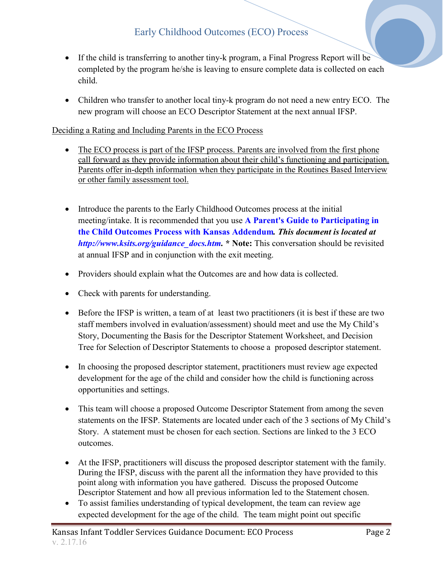# Early Childhood Outcomes (ECO) Process

- If the child is transferring to another tiny-k program, a Final Progress Report will be completed by the program he/she is leaving to ensure complete data is collected on each child.
- Children who transfer to another local tiny-k program do not need a new entry ECO. The new program will choose an ECO Descriptor Statement at the next annual IFSP.

## Deciding a Rating and Including Parents in the ECO Process

- The ECO process is part of the IFSP process. Parents are involved from the first phone call forward as they provide information about their child's functioning and participation. Parents offer in-depth information when they participate in the Routines Based Interview or other family assessment tool.
- Introduce the parents to the Early Childhood Outcomes process at the initial meeting/intake. It is recommended that you use **[A Parent's Guide to Participating in](http://www.ksits.org/download/guidance_docs/A_Parents_Guide_to_Participating_in_the_Child_Outcomes_Process_with_Kansas_Addendum.pdf)  [the Child Outcomes Process with Kansas Addendum](http://www.ksits.org/download/guidance_docs/A_Parents_Guide_to_Participating_in_the_Child_Outcomes_Process_with_Kansas_Addendum.pdf)***. This document is located at [http://www.ksits.org/guidance\\_docs.htm.](http://www.ksits.org/guidance_docs.htm)* **\* Note:** This conversation should be revisited at annual IFSP and in conjunction with the exit meeting.
- Providers should explain what the Outcomes are and how data is collected.
- Check with parents for understanding.
- Before the IFSP is written, a team of at least two practitioners (it is best if these are two staff members involved in evaluation/assessment) should meet and use the My Child's Story, Documenting the Basis for the Descriptor Statement Worksheet, and Decision Tree for Selection of Descriptor Statements to choose a proposed descriptor statement.
- In choosing the proposed descriptor statement, practitioners must review age expected development for the age of the child and consider how the child is functioning across opportunities and settings.
- This team will choose a proposed Outcome Descriptor Statement from among the seven statements on the IFSP. Statements are located under each of the 3 sections of My Child's Story. A statement must be chosen for each section. Sections are linked to the 3 ECO outcomes.
- At the IFSP, practitioners will discuss the proposed descriptor statement with the family. During the IFSP, discuss with the parent all the information they have provided to this point along with information you have gathered. Discuss the proposed Outcome Descriptor Statement and how all previous information led to the Statement chosen.
- To assist families understanding of typical development, the team can review age expected development for the age of the child. The team might point out specific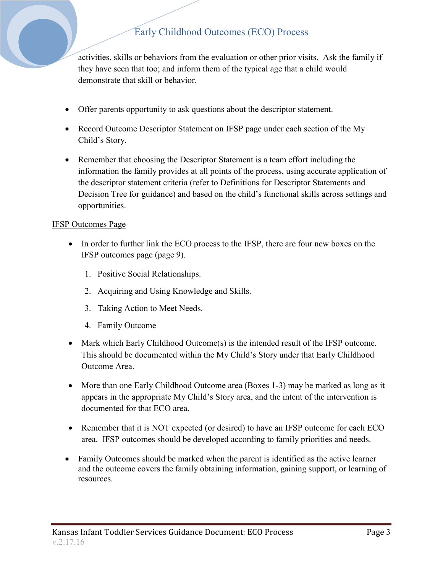# Early Childhood Outcomes (ECO) Process

activities, skills or behaviors from the evaluation or other prior visits. Ask the family if they have seen that too; and inform them of the typical age that a child would demonstrate that skill or behavior.

- Offer parents opportunity to ask questions about the descriptor statement.
- Record Outcome Descriptor Statement on IFSP page under each section of the My Child's Story.
- Remember that choosing the Descriptor Statement is a team effort including the information the family provides at all points of the process, using accurate application of the descriptor statement criteria (refer to Definitions for Descriptor Statements and Decision Tree for guidance) and based on the child's functional skills across settings and opportunities.

#### IFSP Outcomes Page

- In order to further link the ECO process to the IFSP, there are four new boxes on the IFSP outcomes page (page 9).
	- 1. Positive Social Relationships.
	- 2. Acquiring and Using Knowledge and Skills.
	- 3. Taking Action to Meet Needs.
	- 4. Family Outcome
- Mark which Early Childhood Outcome(s) is the intended result of the IFSP outcome. This should be documented within the My Child's Story under that Early Childhood Outcome Area.
- More than one Early Childhood Outcome area (Boxes 1-3) may be marked as long as it appears in the appropriate My Child's Story area, and the intent of the intervention is documented for that ECO area.
- Remember that it is NOT expected (or desired) to have an IFSP outcome for each ECO area. IFSP outcomes should be developed according to family priorities and needs.
- Family Outcomes should be marked when the parent is identified as the active learner and the outcome covers the family obtaining information, gaining support, or learning of resources.